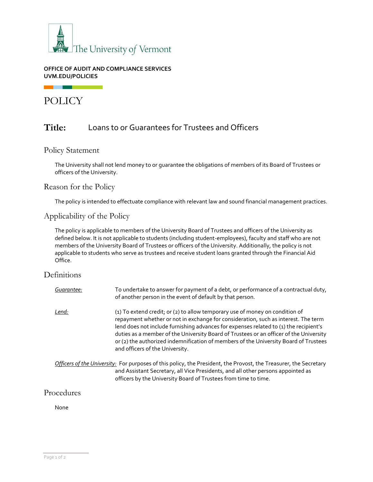

#### **OFFICE OF AUDIT AND COMPLIANCE SERVICES UVM.EDU/POLICIES**

POLICY

# **Title:** Loans to or Guarantees for Trustees and Officers

### Policy Statement

The University shall not lend money to or guarantee the obligations of members of its Board of Trustees or officers of the University.

### Reason for the Policy

The policy is intended to effectuate compliance with relevant law and sound financial management practices.

### Applicability of the Policy

The policy is applicable to members of the University Board of Trustees and officers of the University as defined below. It is not applicable to students (including student-employees), faculty and staff who are not members of the University Board of Trustees or officers of the University. Additionally, the policy is not applicable to students who serve as trustees and receive student loans granted through the Financial Aid Office.

### **Definitions**

| Guarantee:   | To undertake to answer for payment of a debt, or performance of a contractual duty,<br>of another person in the event of default by that person.                                                                                                                                                                                                                                                                                                                                 |
|--------------|----------------------------------------------------------------------------------------------------------------------------------------------------------------------------------------------------------------------------------------------------------------------------------------------------------------------------------------------------------------------------------------------------------------------------------------------------------------------------------|
| <u>Lend:</u> | (1) To extend credit; or (2) to allow temporary use of money on condition of<br>repayment whether or not in exchange for consideration, such as interest. The term<br>lend does not include furnishing advances for expenses related to (1) the recipient's<br>duties as a member of the University Board of Trustees or an officer of the University<br>or (2) the authorized indemnification of members of the University Board of Trustees<br>and officers of the University. |
|              | Officers of the University: For purposes of this policy, the President, the Provost, the Treasurer, the Secretary<br>and Assistant Secretary, all Vice Presidents, and all other persons appointed as<br>officers by the University Board of Trustees from time to time.                                                                                                                                                                                                         |

### Procedures

None